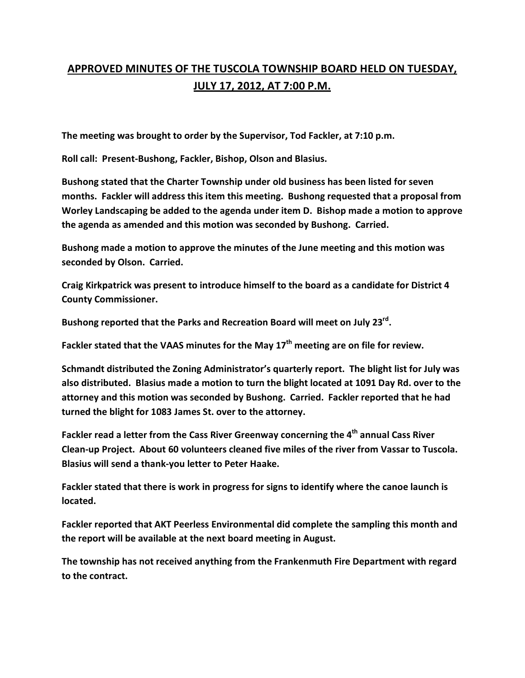## **APPROVED MINUTES OF THE TUSCOLA TOWNSHIP BOARD HELD ON TUESDAY, JULY 17, 2012, AT 7:00 P.M.**

**The meeting was brought to order by the Supervisor, Tod Fackler, at 7:10 p.m.** 

**Roll call: Present-Bushong, Fackler, Bishop, Olson and Blasius.** 

**Bushong stated that the Charter Township under old business has been listed for seven months. Fackler will address this item this meeting. Bushong requested that a proposal from Worley Landscaping be added to the agenda under item D. Bishop made a motion to approve the agenda as amended and this motion was seconded by Bushong. Carried.** 

**Bushong made a motion to approve the minutes of the June meeting and this motion was seconded by Olson. Carried.** 

**Craig Kirkpatrick was present to introduce himself to the board as a candidate for District 4 County Commissioner.** 

**Bushong reported that the Parks and Recreation Board will meet on July 23rd .** 

**Fackler stated that the VAAS minutes for the May 17th meeting are on file for review.** 

**Schmandt distributed the Zoning Administrator's quarterly report. The blight list for July was also distributed. Blasius made a motion to turn the blight located at 1091 Day Rd. over to the attorney and this motion was seconded by Bushong. Carried. Fackler reported that he had turned the blight for 1083 James St. over to the attorney.** 

**Fackler read a letter from the Cass River Greenway concerning the 4th annual Cass River Clean-up Project. About 60 volunteers cleaned five miles of the river from Vassar to Tuscola. Blasius will send a thank-you letter to Peter Haake.** 

**Fackler stated that there is work in progress for signs to identify where the canoe launch is located.** 

**Fackler reported that AKT Peerless Environmental did complete the sampling this month and the report will be available at the next board meeting in August.** 

**The township has not received anything from the Frankenmuth Fire Department with regard to the contract.**